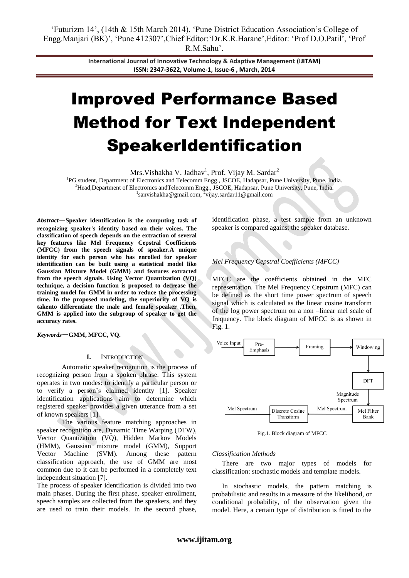**International Journal of Innovative Technology & Adaptive Management (IJITAM) ISSN: 2347-3622, Volume-1, Issue-6 , March, 2014**

# Improved Performance Based Method for Text Independent SpeakerIdentification

Mrs. Vishakha V. Jadhav<sup>1</sup>, Prof. Vijay M. Sardar<sup>2</sup>

<sup>1</sup>PG student, Department of Electronics and Telecomm Engg., JSCOE, Hadapsar, Pune University, Pune, India. <sup>2</sup>Head,Department of Electronics andTelecomm Engg., JSCOE, Hadapsar, Pune University, Pune, India. <sup>1</sup>sanvishakha@gmail.com, <sup>2</sup>vijay.sardar11@gmail.com

*Abstract*—**Speaker identification is the computing task of recognizing speaker's identity based on their voices. The classification of speech depends on the extraction of several key features like Mel Frequency Cepstral Coefficients (MFCC) from the speech signals of speaker.A unique identity for each person who has enrolled for speaker identification can be built using a statistical model like Gaussian Mixture Model (GMM) and features extracted from the speech signals. Using Vector Quantization (VQ) technique, a decision function is proposed to decrease the training model for GMM in order to reduce the processing time. In the proposed modeling, the superiority of VQ is takento differentiate the male and female speaker .Then, GMM is applied into the subgroup of speaker to get the accuracy rates.**

*Keywords*—**GMM, MFCC, VQ.**

#### **I.** INTRODUCTION

Automatic speaker recognition is the process of recognizing person from a spoken phrase. This system operates in two modes: to identify a particular person or to verify a person"s claimed identity [1]. Speaker identification applications aim to determine which registered speaker provides a given utterance from a set of known speakers [1].

The various feature matching approaches in speaker recognition are, Dynamic Time Warping (DTW), Vector Quantization (VQ), Hidden Markov Models (HMM), Gaussian mixture model (GMM), Support Vector Machine (SVM). Among these pattern classification approach, the use of GMM are most common due to it can be performed in a completely text independent situation [7].

The process of speaker identification is divided into two main phases. During the first phase, speaker enrollment, speech samples are collected from the speakers, and they are used to train their models. In the second phase, identification phase, a test sample from an unknown speaker is compared against the speaker database.

*Mel Frequency Cepstral Coefficients (MFCC)*

MFCC are the coefficients obtained in the MFC representation. The Mel Frequency Cepstrum (MFC) can be defined as the short time power spectrum of speech signal which is calculated as the linear cosine transform of the log power spectrum on a non –linear mel scale of frequency. The block diagram of MFCC is as shown in Fig. 1.



Fig.1. Block diagram of MFCC

#### *Classification Methods*

There are two major types of models for classification: stochastic models and template models.

In stochastic models, the pattern matching is probabilistic and results in a measure of the likelihood, or conditional probability, of the observation given the model. Here, a certain type of distribution is fitted to the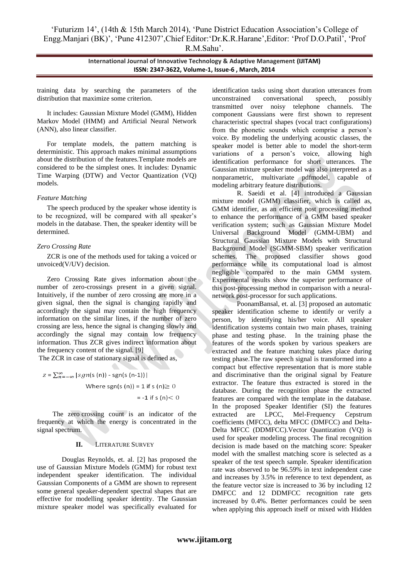**International Journal of Innovative Technology & Adaptive Management (IJITAM) ISSN: 2347-3622, Volume-1, Issue-6 , March, 2014**

training data by searching the parameters of the distribution that maximize some criterion.

It includes: Gaussian Mixture Model (GMM), Hidden Markov Model (HMM) and Artificial Neural Network (ANN), also linear classifier.

For template models, the pattern matching is deterministic. This approach makes minimal assumptions about the distribution of the features.Template models are considered to be the simplest ones. It includes: Dynamic Time Warping (DTW) and Vector Quantization (VQ) models.

#### *Feature Matching*

The speech produced by the speaker whose identity is to be recognized, will be compared with all speaker"s models in the database. Then, the speaker identity will be determined.

#### *Zero Crossing Rate*

ZCR is one of the methods used for taking a voiced or unvoiced(V/UV) decision.

Zero Crossing Rate gives information about the number of zero-crossings present in a given signal. Intuitively, if the number of zero crossing are more in a given signal, then the signal is changing rapidly and accordingly the signal may contain the high frequency information on the similar lines, if the number of zero crossing are less, hence the signal is changing slowly and accordingly the signal may contain low frequency information. Thus ZCR gives indirect information about the frequency content of the signal. [9]

The ZCR in case of stationary signal is defined as,

 $z = \sum_{n=-\infty}^{\infty} |sgn(s(n)) - sgn(s(n-1))|$ Where sgn(s (n)) = 1 if s (n)  $\geq$  0  $= -1$  if s (n)  $< 0$ 

The zero crossing count is an indicator of the frequency at which the energy is concentrated in the signal spectrum.

## **II.** LITERATURE SURVEY

Douglas Reynolds, et. al. [2] has proposed the use of Gaussian Mixture Models (GMM) for robust text independent speaker identification. The individual Gaussian Components of a GMM are shown to represent some general speaker-dependent spectral shapes that are effective for modelling speaker identity. The Gaussian mixture speaker model was specifically evaluated for

identification tasks using short duration utterances from unconstrained conversational speech, possibly transmitted over noisy telephone channels. The component Gaussians were first shown to represent characteristic spectral shapes (vocal tract configurations) from the phonetic sounds which comprise a person"s voice. By modeling the underlying acoustic classes, the speaker model is better able to model the short-term variations of a person"s voice, allowing high identification performance for short utterances. The Gaussian mixture speaker model was also interpreted as a nonparametric, multivariate pdfmodel, capable of modeling arbitrary feature distributions.

R. Saeidi et al. [4] introduced a Gaussian mixture model (GMM) classifier, which is called as, GMM identifier, as an efficient post processing method to enhance the performance of a GMM based speaker verification system; such as Gaussian Mixture Model Universal Background Model (GMM-UBM) and Structural Gaussian Mixture Models with Structural Background Model (SGMM-SBM) speaker verification schemes. The proposed classifier shows good performance while its computational load is almost negligible compared to the main GMM system. Experimental results show the superior performance of this post-processing method in comparison with a neuralnetwork post-processor for such applications.

PoonamBansal, et. al. [3] proposed an automatic speaker identification scheme to identify or verify a person, by identifying his/her voice. All speaker identification systems contain two main phases, training phase and testing phase. In the training phase the features of the words spoken by various speakers are extracted and the feature matching takes place during testing phase.The raw speech signal is transformed into a compact but effective representation that is more stable and discriminative than the original signal by Feature extractor. The feature thus extracted is stored in the database. During the recognition phase the extracted features are compared with the template in the database. In the proposed Speaker Identifier (SI) the features extracted are LPCC, Mel-Frequency Cepstrum coefficients (MFCC), delta MFCC (DMFCC) and Delta-Delta MFCC (DDMFCC).Vector Quantization (VQ) is used for speaker modeling process. The final recognition decision is made based on the matching score: Speaker model with the smallest matching score is selected as a speaker of the test speech sample. Speaker identification rate was observed to be 96.59% in text independent case and increases by 3.5% in reference to text dependent, as the feature vector size is increased to 36 by including 12 DMFCC and 12 DDMFCC recognition rate gets increased by 0.4%. Better performances could be seen when applying this approach itself or mixed with Hidden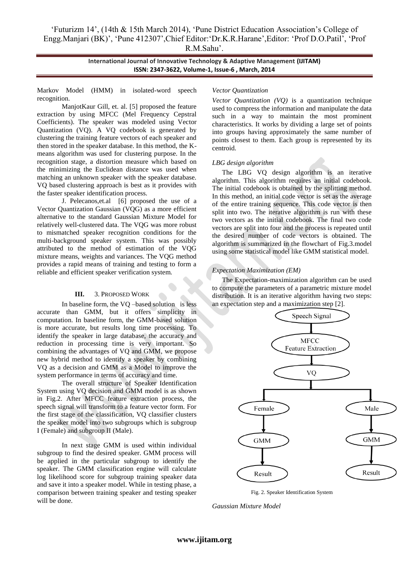# "Futurizm 14", (14th & 15th March 2014), "Pune District Education Association"s College of Engg.Manjari (BK)", "Pune 412307",Chief Editor:"Dr.K.R.Harane",Editor: "Prof D.O.Patil", "Prof R.M.Sahu".

**International Journal of Innovative Technology & Adaptive Management (IJITAM) ISSN: 2347-3622, Volume-1, Issue-6 , March, 2014**

Markov Model (HMM) in isolated-word speech recognition.

ManjotKaur Gill, et. al. [5] proposed the feature extraction by using MFCC (Mel Frequency Cepstral Coefficients). The speaker was modeled using Vector Quantization (VQ). A VQ codebook is generated by clustering the training feature vectors of each speaker and then stored in the speaker database. In this method, the Kmeans algorithm was used for clustering purpose. In the recognition stage, a distortion measure which based on the minimizing the Euclidean distance was used when matching an unknown speaker with the speaker database. VQ based clustering approach is best as it provides with the faster speaker identification process.

J. Pelecanos,et.al [6] proposed the use of a Vector Quantization Gaussian (VQG) as a more efficient alternative to the standard Gaussian Mixture Model for relatively well-clustered data. The VQG was more robust to mismatched speaker recognition conditions for the multi-background speaker system. This was possibly attributed to the method of estimation of the VQG mixture means, weights and variances. The VQG method provides a rapid means of training and testing to form a reliable and efficient speaker verification system.

#### **III.** 3. PROPOSED WORK

In baseline form, the VQ –based solution is less accurate than GMM, but it offers simplicity in computation. In baseline form, the GMM-based solution is more accurate, but results long time processing. To identify the speaker in large database, the accuracy and reduction in processing time is very important. So combining the advantages of VQ and GMM, we propose new hybrid method to identify a speaker by combining VQ as a decision and GMM as a Model to improve the system performance in terms of accuracy and time.

The overall structure of Speaker Identification System using VQ decision and GMM model is as shown in Fig.2. After MFCC feature extraction process, the speech signal will transform to a feature vector form. For the first stage of the classification, VQ classifier clusters the speaker model into two subgroups which is subgroup I (Female) and subgroup II (Male).

In next stage GMM is used within individual subgroup to find the desired speaker. GMM process will be applied in the particular subgroup to identify the speaker. The GMM classification engine will calculate log likelihood score for subgroup training speaker data and save it into a speaker model. While in testing phase, a comparison between training speaker and testing speaker will be done.

#### *Vector Quantization*

*Vector Quantization (VQ)* is a quantization technique used to compress the information and manipulate the data such in a way to maintain the most prominent characteristics. It works by dividing a large set of points into groups having approximately the same number of points closest to them. Each group is represented by its centroid.

#### *LBG design algorithm*

The LBG VQ design algorithm is an iterative algorithm. This algorithm requires an initial codebook. The initial codebook is obtained by the splitting method. In this method, an initial code vector is set as the average of the entire training sequence. This code vector is then split into two. The iterative algorithm is run with these two vectors as the initial codebook. The final two code vectors are split into four and the process is repeated until the desired number of code vectors is obtained. The algorithm is summarized in the flowchart of Fig.3.model using some statistical model like GMM statistical model.

## *Expectation Maximization (EM)*

The Expectation-maximization algorithm can be used to compute the parameters of a parametric mixture model distribution. It is an iterative algorithm having two steps: an expectation step and a maximization step [2].



Fig. 2. Speaker Identification System

*Gaussian Mixture Model*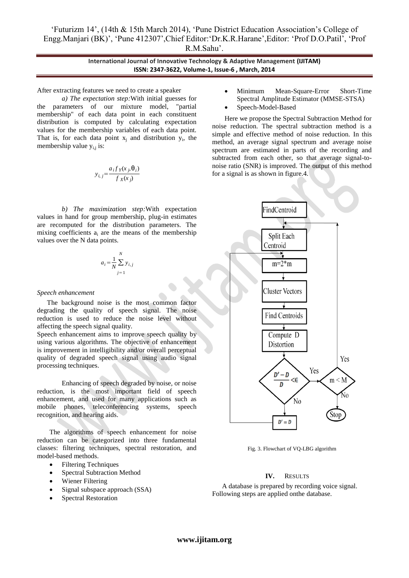"Futurizm 14", (14th & 15th March 2014), "Pune District Education Association"s College of Engg.Manjari (BK)", "Pune 412307",Chief Editor:"Dr.K.R.Harane",Editor: "Prof D.O.Patil", "Prof R.M.Sahu".

> **International Journal of Innovative Technology & Adaptive Management (IJITAM) ISSN: 2347-3622, Volume-1, Issue-6 , March, 2014**

After extracting features we need to create a speaker

*a) The expectation step:*With initial guesses for the parameters of our mixture model, "partial membership" of each data point in each constituent distribution is computed by calculating expectation values for the membership variables of each data point. That is, for each data point  $x_j$  and distribution  $y_i$ , the membership value  $y_{i,j}$  is:

$$
y_{i,j} = \frac{a_i f_Y(x_j, \theta_i)}{f_X(x_j)}
$$

*b) The maximization step:*With expectation values in hand for group membership, plug-in estimates are recomputed for the distribution parameters. The mixing coefficients  $a_i$  are the means of the membership values over the N data points.

$$
a_i = \frac{1}{N} \sum_{j=1}^{N} y_{i,j}
$$

#### *Speech enhancement*

The background noise is the most common factor degrading the quality of speech signal. The noise reduction is used to reduce the noise level without affecting the speech signal quality.

Speech enhancement aims to improve speech quality by using various algorithms. The objective of enhancement is improvement in intelligibility and/or overall perceptual quality of degraded speech signal using audio signal processing techniques.

Enhancing of speech degraded by noise, or noise reduction, is the most important field of speech enhancement, and used for many applications such as mobile phones, teleconferencing systems, speech recognition, and hearing aids.

The algorithms of speech enhancement for noise reduction can be categorized into three fundamental classes: filtering techniques, spectral restoration, and model-based methods.

- **•** Filtering Techniques
- Spectral Subtraction Method
- Wiener Filtering
- Signal subspace approach (SSA)
- Spectral Restoration
- Minimum Mean-Square-Error Short-Time Spectral Amplitude Estimator (MMSE-STSA)
- Speech-Model-Based

Here we propose the Spectral Subtraction Method for noise reduction. The spectral subtraction method is a simple and effective method of noise reduction. In this method, an average signal spectrum and average noise spectrum are estimated in parts of the recording and subtracted from each other, so that average signal-tonoise ratio (SNR) is improved. The output of this method for a signal is as shown in figure.4.



Fig. 3. Flowchart of VQ-LBG algorithm

## **IV.** RESULTS

A database is prepared by recording voice signal. Following steps are applied onthe database.